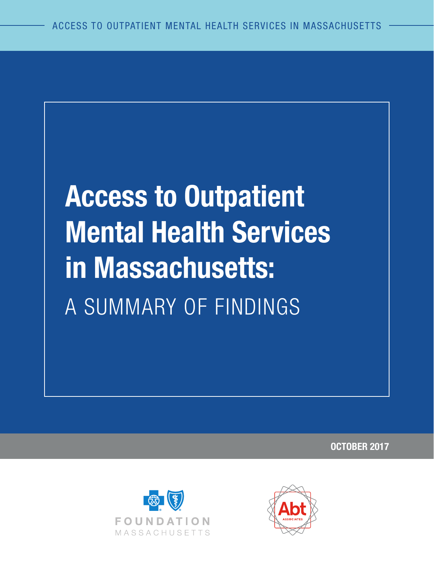# **Access to Outpatient Mental Health Services in Massachusetts:** A SUMMARY OF FINDINGS

**OCTOBER 2017**



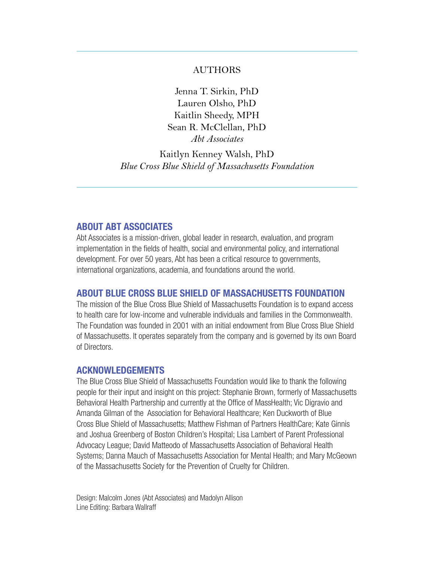#### AUTHORS

Jenna T. Sirkin, PhD Lauren Olsho, PhD Kaitlin Sheedy, MPH Sean R. McClellan, PhD *Abt Associates*

Kaitlyn Kenney Walsh, PhD *Blue Cross Blue Shield of Massachusetts Foundation*

#### **ABOUT ABT ASSOCIATES**

Abt Associates is a mission-driven, global leader in research, evaluation, and program implementation in the fields of health, social and environmental policy, and international development. For over 50 years, Abt has been a critical resource to governments, international organizations, academia, and foundations around the world.

#### **ABOUT BLUE CROSS BLUE SHIELD OF MASSACHUSETTS FOUNDATION**

The mission of the Blue Cross Blue Shield of Massachusetts Foundation is to expand access to health care for low-income and vulnerable individuals and families in the Commonwealth. The Foundation was founded in 2001 with an initial endowment from Blue Cross Blue Shield of Massachusetts. It operates separately from the company and is governed by its own Board of Directors.

#### **ACKNOWLEDGEMENTS**

The Blue Cross Blue Shield of Massachusetts Foundation would like to thank the following people for their input and insight on this project: Stephanie Brown, formerly of Massachusetts Behavioral Health Partnership and currently at the Office of MassHealth; Vic Digravio and Amanda Gilman of the Association for Behavioral Healthcare; Ken Duckworth of Blue Cross Blue Shield of Massachusetts; Matthew Fishman of Partners HealthCare; Kate Ginnis and Joshua Greenberg of Boston Children's Hospital; Lisa Lambert of Parent Professional Advocacy League; David Matteodo of Massachusetts Association of Behavioral Health Systems; Danna Mauch of Massachusetts Association for Mental Health; and Mary McGeown of the Massachusetts Society for the Prevention of Cruelty for Children.

Design: Malcolm Jones (Abt Associates) and Madolyn Allison Line Editing: Barbara Wallraff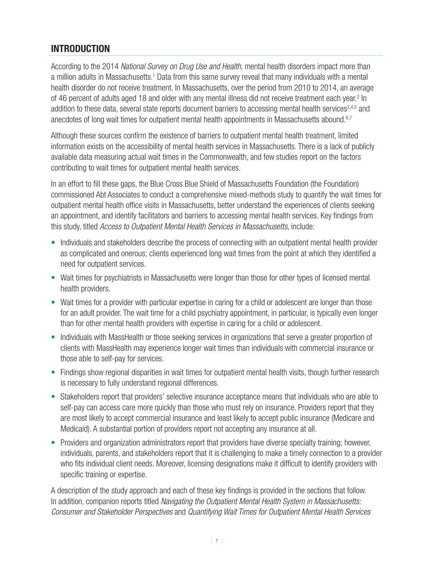# **INTRODUCTION**

According to the 2014 *National Survey on Drug Use and Health*, mental health disorders impact more than a million adults in Massachusetts.<sup>[1](#page-15-0)</sup> Data from this same survey reveal that many individuals with a mental health disorder do not receive treatment. In Massachusetts, over the period from 2010 to 2014, an average of 46 percent of adults aged 18 and older with any mental illness did not receive treatment each year.<sup>[2](#page-15-1)</sup> In addition to these data, several state reports document barriers to accessing mental health services<sup>[3](#page-15-2),[4](#page-15-3),[5](#page-15-4)</sup> and anecdotes of long wait times for outpatient mental health appointments in Massachusetts abound.<sup>6,[7](#page-15-6)</sup>

Although these sources confirm the existence of barriers to outpatient mental health treatment, limited information exists on the accessibility of mental health services in Massachusetts. There is a lack of publicly available data measuring actual wait times in the Commonwealth, and few studies report on the factors contributing to wait times for outpatient mental health services.

In an effort to fill these gaps, the Blue Cross Blue Shield of Massachusetts Foundation (the Foundation) commissioned Abt Associates to conduct a comprehensive mixed-methods study to quantify the wait times for outpatient mental health office visits in Massachusetts, better understand the experiences of clients seeking an appointment, and identify facilitators and barriers to accessing mental health services. Key findings from this study, titled *Access to Outpatient Mental Health Services in Massachusetts*, include:

- Individuals and stakeholders describe the process of connecting with an outpatient mental health provider as complicated and onerous; clients experienced long wait times from the point at which they identified a need for outpatient services.
- Wait times for psychiatrists in Massachusetts were longer than those for other types of licensed mental health providers.
- Wait times for a provider with particular expertise in caring for a child or adolescent are longer than those for an adult provider. The wait time for a child psychiatry appointment, in particular, is typically even longer than for other mental health providers with expertise in caring for a child or adolescent.
- Individuals with MassHealth or those seeking services in organizations that serve a greater proportion of clients with MassHealth may experience longer wait times than individuals with commercial insurance or those able to self-pay for services.
- Findings show regional disparities in wait times for outpatient mental health visits, though further research is necessary to fully understand regional differences.
- Stakeholders report that providers' selective insurance acceptance means that individuals who are able to self-pay can access care more quickly than those who must rely on insurance. Providers report that they are most likely to accept commercial insurance and least likely to accept public insurance (Medicare and Medicaid). A substantial portion of providers report not accepting any insurance at all.
- Providers and organization administrators report that providers have diverse specialty training; however, individuals, parents, and stakeholders report that it is challenging to make a timely connection to a provider who fits individual client needs. Moreover, licensing designations make it difficult to identify providers with specific training or expertise.

A description of the study approach and each of these key findings is provided in the sections that follow. In addition, companion reports titled *Navigating the Outpatient Mental Health System in Massachusetts: Consumer and Stakeholder Perspectives* and *Quantifying Wait Times for Outpatient Mental Health Services*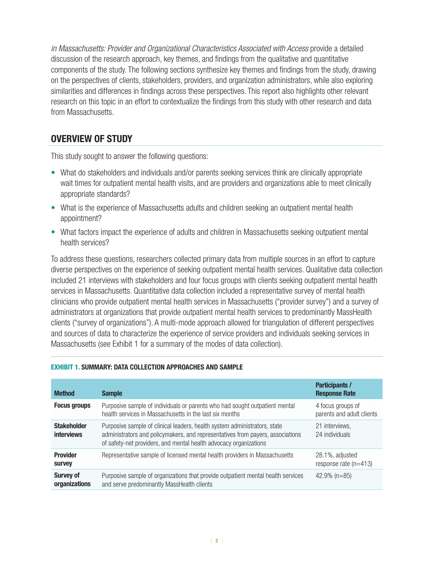*in Massachusetts: Provider and Organizational Characteristics Associated with Access* provide a detailed discussion of the research approach, key themes, and findings from the qualitative and quantitative components of the study. The following sections synthesize key themes and findings from the study, drawing on the perspectives of clients, stakeholders, providers, and organization administrators, while also exploring similarities and differences in findings across these perspectives. This report also highlights other relevant research on this topic in an effort to contextualize the findings from this study with other research and data from Massachusetts.

## **OVERVIEW OF STUDY**

This study sought to answer the following questions:

- What do stakeholders and individuals and/or parents seeking services think are clinically appropriate wait times for outpatient mental health visits, and are providers and organizations able to meet clinically appropriate standards?
- What is the experience of Massachusetts adults and children seeking an outpatient mental health appointment?
- What factors impact the experience of adults and children in Massachusetts seeking outpatient mental health services?

To address these questions, researchers collected primary data from multiple sources in an effort to capture diverse perspectives on the experience of seeking outpatient mental health services. Qualitative data collection included 21 interviews with stakeholders and four focus groups with clients seeking outpatient mental health services in Massachusetts. Quantitative data collection included a representative survey of mental health clinicians who provide outpatient mental health services in Massachusetts ("provider survey") and a survey of administrators at organizations that provide outpatient mental health services to predominantly MassHealth clients ("survey of organizations"). A multi-mode approach allowed for triangulation of different perspectives and sources of data to characterize the experience of service providers and individuals seeking services in Massachusetts (see Exhibit 1 for a summary of the modes of data collection).

| <b>Method</b>                           | <b>Sample</b>                                                                                                                                                                                                                    | <b>Participants /</b><br><b>Response Rate</b>  |
|-----------------------------------------|----------------------------------------------------------------------------------------------------------------------------------------------------------------------------------------------------------------------------------|------------------------------------------------|
| <b>Focus groups</b>                     | Purposive sample of individuals or parents who had sought outpatient mental<br>health services in Massachusetts in the last six months                                                                                           | 4 focus groups of<br>parents and adult clients |
| <b>Stakeholder</b><br><b>interviews</b> | Purposive sample of clinical leaders, health system administrators, state<br>administrators and policymakers, and representatives from payers, associations<br>of safety-net providers, and mental health advocacy organizations | 21 interviews.<br>24 individuals               |
| <b>Provider</b><br><b>Survey</b>        | Representative sample of licensed mental health providers in Massachusetts                                                                                                                                                       | 28.1%, adjusted<br>response rate $(n=413)$     |
| <b>Survey of</b><br>organizations       | Purposive sample of organizations that provide outpatient mental health services<br>and serve predominantly MassHealth clients                                                                                                   | $42.9\%$ (n=85)                                |

#### **EXHIBIT 1. SUMMARY: DATA COLLECTION APPROACHES AND SAMPLE**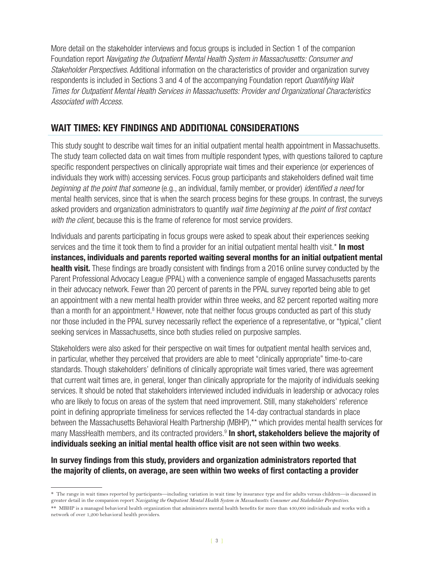More detail on the stakeholder interviews and focus groups is included in Section 1 of the companion Foundation report *Navigating the Outpatient Mental Health System in Massachusetts: Consumer and Stakeholder Perspectives*. Additional information on the characteristics of provider and organization survey respondents is included in Sections 3 and 4 of the accompanying Foundation report *Quantifying Wait Times for Outpatient Mental Health Services in Massachusetts: Provider and Organizational Characteristics Associated with Access*.

## **WAIT TIMES: KEY FINDINGS AND ADDITIONAL CONSIDERATIONS**

This study sought to describe wait times for an initial outpatient mental health appointment in Massachusetts. The study team collected data on wait times from multiple respondent types, with questions tailored to capture specific respondent perspectives on clinically appropriate wait times and their experience (or experiences of individuals they work with) accessing services. Focus group participants and stakeholders defined wait time *beginning at the point that someone* (e.g., an individual, family member, or provider) *identified a need* for mental health services, since that is when the search process begins for these groups. In contrast, the surveys asked providers and organization administrators to quantify *wait time beginning at the point of first contact with the client*, because this is the frame of reference for most service providers.

Individuals and parents participating in focus groups were asked to speak about their experiences seeking services and the time it took them to find a provider for an initial outpatient mental health visit.\* **In most instances, individuals and parents reported waiting several months for an initial outpatient mental health visit.** These findings are broadly consistent with findings from a 2016 online survey conducted by the Parent Professional Advocacy League (PPAL) with a convenience sample of engaged Massachusetts parents in their advocacy network. Fewer than 20 percent of parents in the PPAL survey reported being able to get an appointment with a new mental health provider within three weeks, and 82 percent reported waiting more than a month for an appointment.<sup>[8](#page-15-7)</sup> However, note that neither focus groups conducted as part of this study nor those included in the PPAL survey necessarily reflect the experience of a representative, or "typical," client seeking services in Massachusetts, since both studies relied on purposive samples.

Stakeholders were also asked for their perspective on wait times for outpatient mental health services and, in particular, whether they perceived that providers are able to meet "clinically appropriate" time-to-care standards. Though stakeholders' definitions of clinically appropriate wait times varied, there was agreement that current wait times are, in general, longer than clinically appropriate for the majority of individuals seeking services. It should be noted that stakeholders interviewed included individuals in leadership or advocacy roles who are likely to focus on areas of the system that need improvement. Still, many stakeholders' reference point in defining appropriate timeliness for services reflected the 14-day contractual standards in place between the Massachusetts Behavioral Health Partnership (MBHP),\*\* which provides mental health services for many MassHealth members, and its contracted providers.[9](#page-15-8) **In short, stakeholders believe the majority of individuals seeking an initial mental health office visit are not seen within two weeks**.

#### **In survey findings from this study, providers and organization administrators reported that the majority of clients, on average, are seen within two weeks of first contacting a provider**

<sup>\*</sup> The range in wait times reported by participants—including variation in wait time by insurance type and for adults versus children—is discussed in greater detail in the companion report *Navigating the Outpatient Mental Health System in Massachusetts: Consumer and Stakeholder Perspectives*. \*\* MBHP is a managed behavioral health organization that administers mental health benefits for more than 430,000 individuals and works with a

network of over 1,200 behavioral health providers.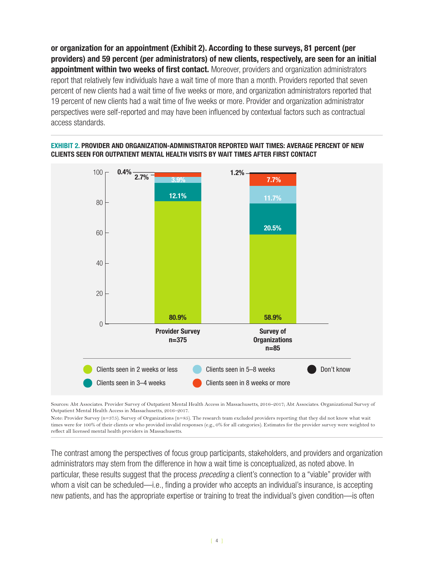**or organization for an appointment (Exhibit 2). According to these surveys, 81 percent (per providers) and 59 percent (per administrators) of new clients, respectively, are seen for an initial appointment within two weeks of first contact.** Moreover, providers and organization administrators report that relatively few individuals have a wait time of more than a month. Providers reported that seven percent of new clients had a wait time of five weeks or more, and organization administrators reported that 19 percent of new clients had a wait time of five weeks or more. Provider and organization administrator perspectives were self-reported and may have been influenced by contextual factors such as contractual access standards.



#### **EXHIBIT 2. PROVIDER AND ORGANIZATION-ADMINISTRATOR REPORTED WAIT TIMES: AVERAGE PERCENT OF NEW CLIENTS SEEN FOR OUTPATIENT MENTAL HEALTH VISITS BY WAIT TIMES AFTER FIRST CONTACT**

Sources: Abt Associates. Provider Survey of Outpatient Mental Health Access in Massachusetts, 2016–2017; Abt Associates. Organizational Survey of Outpatient Mental Health Access in Massachusetts, 2016–2017.

Note: Provider Survey (n=375). Survey of Organizations (n=85). The research team excluded providers reporting that they did not know what wait times were for 100% of their clients or who provided invalid responses (e.g., 0% for all categories). Estimates for the provider survey were weighted to reflect all licensed mental health providers in Massachusetts.

The contrast among the perspectives of focus group participants, stakeholders, and providers and organization administrators may stem from the difference in how a wait time is conceptualized, as noted above. In particular, these results suggest that the process *preceding* a client's connection to a "viable" provider with whom a visit can be scheduled—i.e., finding a provider who accepts an individual's insurance, is accepting new patients, and has the appropriate expertise or training to treat the individual's given condition—is often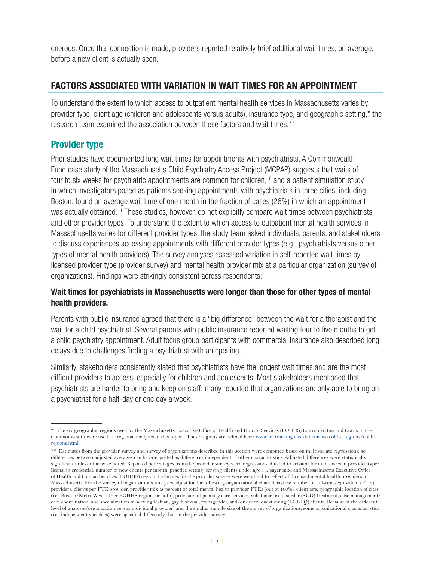onerous. Once that connection is made, providers reported relatively brief additional wait times, on average, before a new client is actually seen.

# **FACTORS ASSOCIATED WITH VARIATION IN WAIT TIMES FOR AN APPOINTMENT**

To understand the extent to which access to outpatient mental health services in Massachusetts varies by provider type, client age (children and adolescents versus adults), insurance type, and geographic setting,\* the research team examined the association between these factors and wait times.\*\*

# **Provider type**

Prior studies have documented long wait times for appointments with psychiatrists. A Commonwealth Fund case study of the Massachusetts Child Psychiatry Access Project (MCPAP) suggests that waits of four to six weeks for psychiatric appointments are common for children,<sup>10</sup> and a patient simulation study in which investigators posed as patients seeking appointments with psychiatrists in three cities, including Boston, found an average wait time of one month in the fraction of cases (26%) in which an appointment was actually obtained.<sup>11</sup> These studies, however, do not explicitly compare wait times between psychiatrists and other provider types. To understand the extent to which access to outpatient mental health services in Massachusetts varies for different provider types, the study team asked individuals, parents, and stakeholders to discuss experiences accessing appointments with different provider types (e.g., psychiatrists versus other types of mental health providers). The survey analyses assessed variation in self-reported wait times by licensed provider type (provider survey) and mental health provider mix at a particular organization (survey of organizations). Findings were strikingly consistent across respondents:

#### **Wait times for psychiatrists in Massachusetts were longer than those for other types of mental health providers.**

Parents with public insurance agreed that there is a "big difference" between the wait for a therapist and the wait for a child psychiatrist. Several parents with public insurance reported waiting four to five months to get a child psychiatry appointment. Adult focus group participants with commercial insurance also described long delays due to challenges finding a psychiatrist with an opening.

Similarly, stakeholders consistently stated that psychiatrists have the longest wait times and are the most difficult providers to access, especially for children and adolescents. Most stakeholders mentioned that psychiatrists are harder to bring and keep on staff; many reported that organizations are only able to bring on a psychiatrist for a half-day or one day a week.

<sup>\*</sup> The six geographic regions used by the Massachusetts Executive Office of Health and Human Services (EOHHS) to group cities and towns in the Commonwealth were used for regional analyses in this report. These regions are defined here: www.[matracking.ehs.state.ma.us/eohhs\\_regions/eohhs\\_](https://matracking.ehs.state.ma.us/eohhs_regions/eohhs_regions.html) [regions.html.](https://matracking.ehs.state.ma.us/eohhs_regions/eohhs_regions.html)

<sup>\*\*</sup> Estimates from the provider survey and survey of organizations described in this section were computed based on multivariate regressions, so differences between adjusted averages can be interpreted as differences independent of other characteristics. Adjusted differences were statistically significant unless otherwise noted. Reported percentages from the provider survey were regression-adjusted to account for differences in provider type/ licensing credential, number of new clients per month, practice setting, serving clients under age 18, payer mix, and Massachusetts Executive Office of Health and Human Services (EOHHS) region. Estimates for the provider survey were weighted to reflect all licensed mental health providers in Massachusetts. For the survey of organizations, analyses adjust for the following organizational characteristics: number of full-time-equivalent (FTE) providers, clients per FTE provider, provider mix as percent of total mental health provider FTEs (out of 100%), client age, geographic location of sites (i.e., Boston/MetroWest, other EOHHS region, or both), provision of primary care services, substance use disorder (SUD) treatment, case management/ care coordination, and specialization in serving lesbian, gay, bisexual, transgender, and/or queer/questioning (LGBTQ) clients. Because of the different level of analysis (organization versus individual provider) and the smaller sample size of the survey of organizations, some organizational characteristics (i.e., independent variables) were specified differently than in the provider survey.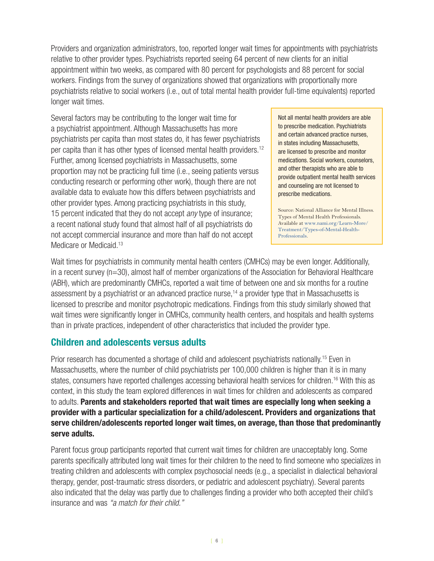Providers and organization administrators, too, reported longer wait times for appointments with psychiatrists relative to other provider types. Psychiatrists reported seeing 64 percent of new clients for an initial appointment within two weeks, as compared with 80 percent for psychologists and 88 percent for social workers. Findings from the survey of organizations showed that organizations with proportionally more psychiatrists relative to social workers (i.e., out of total mental health provider full-time equivalents) reported longer wait times.

Several factors may be contributing to the longer wait time for a psychiatrist appointment. Although Massachusetts has more psychiatrists per capita than most states do, it has fewer psychiatrists per capita than it has other types of licensed mental health providers.[12](#page-15-11) Further, among licensed psychiatrists in Massachusetts, some proportion may not be practicing full time (i.e., seeing patients versus conducting research or performing other work), though there are not available data to evaluate how this differs between psychiatrists and other provider types. Among practicing psychiatrists in this study, 15 percent indicated that they do not accept *any* type of insurance; a recent national study found that almost half of all psychiatrists do not accept commercial insurance and more than half do not accept Medicare or Medicaid.<sup>[13](#page-15-12)</sup>

Not all mental health providers are able to prescribe medication. Psychiatrists and certain advanced practice nurses, in states including Massachusetts, are licensed to prescribe and monitor medications. Social workers, counselors, and other therapists who are able to provide outpatient mental health services and counseling are not licensed to prescribe medications.

Source: National Alliance for Mental Illness. Types of Mental Health Professionals. Available at [www.nami.org/Learn-More/](http://www.nami.org/Learn-More/Treatment/Types-of-Mental-Health-Professionals) [Treatment/Types-of-Mental-Health-](http://www.nami.org/Learn-More/Treatment/Types-of-Mental-Health-Professionals)[Professionals.](http://www.nami.org/Learn-More/Treatment/Types-of-Mental-Health-Professionals)

Wait times for psychiatrists in community mental health centers (CMHCs) may be even longer. Additionally, in a recent survey (n=30), almost half of member organizations of the Association for Behavioral Healthcare (ABH), which are predominantly CMHCs, reported a wait time of between one and six months for a routine assessment by a psychiatrist or an advanced practice nurse,<sup>14</sup> a provider type that in Massachusetts is licensed to prescribe and monitor psychotropic medications. Findings from this study similarly showed that wait times were significantly longer in CMHCs, community health centers, and hospitals and health systems than in private practices, independent of other characteristics that included the provider type.

## **Children and adolescents versus adults**

Prior research has documented a shortage of child and adolescent psychiatrists nationally.<sup>[15](#page-15-14)</sup> Even in Massachusetts, where the number of child psychiatrists per 100,000 children is higher than it is in many states, consumers have reported challenges accessing behavioral health services for children.<sup>16</sup> With this as context, in this study the team explored differences in wait times for children and adolescents as compared to adults. **Parents and stakeholders reported that wait times are especially long when seeking a provider with a particular specialization for a child/adolescent. Providers and organizations that serve children/adolescents reported longer wait times, on average, than those that predominantly serve adults.** 

Parent focus group participants reported that current wait times for children are unacceptably long. Some parents specifically attributed long wait times for their children to the need to find someone who specializes in treating children and adolescents with complex psychosocial needs (e.g., a specialist in dialectical behavioral therapy, gender, post-traumatic stress disorders, or pediatric and adolescent psychiatry). Several parents also indicated that the delay was partly due to challenges finding a provider who both accepted their child's insurance and was *"a match for their child."*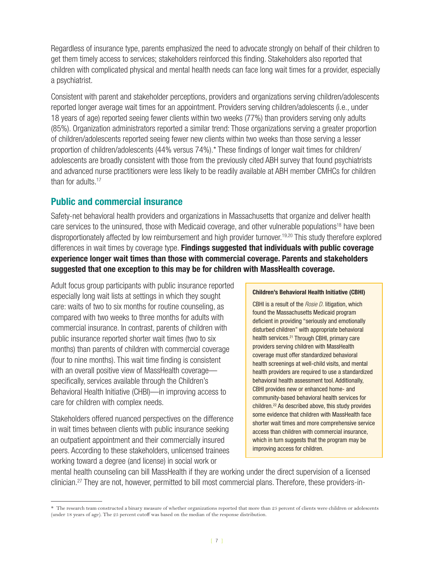Regardless of insurance type, parents emphasized the need to advocate strongly on behalf of their children to get them timely access to services; stakeholders reinforced this finding. Stakeholders also reported that children with complicated physical and mental health needs can face long wait times for a provider, especially a psychiatrist.

Consistent with parent and stakeholder perceptions, providers and organizations serving children/adolescents reported longer average wait times for an appointment. Providers serving children/adolescents (i.e., under 18 years of age) reported seeing fewer clients within two weeks (77%) than providers serving only adults (85%). Organization administrators reported a similar trend: Those organizations serving a greater proportion of children/adolescents reported seeing fewer new clients within two weeks than those serving a lesser proportion of children/adolescents (44% versus 74%).\* These findings of longer wait times for children/ adolescents are broadly consistent with those from the previously cited ABH survey that found psychiatrists and advanced nurse practitioners were less likely to be readily available at ABH member CMHCs for children than for adults.<sup>17</sup>

# **Public and commercial insurance**

Safety-net behavioral health providers and organizations in Massachusetts that organize and deliver health care services to the uninsured, those with Medicaid coverage, and other vulnerable populations<sup>18</sup> have been disproportionately affected by low reimbursement and high provider turnover.[19](#page-15-18)[,20](#page-15-19) This study therefore explored differences in wait times by coverage type. **Findings suggested that individuals with public coverage experience longer wait times than those with commercial coverage. Parents and stakeholders suggested that one exception to this may be for children with MassHealth coverage.**

Adult focus group participants with public insurance reported especially long wait lists at settings in which they sought care: waits of two to six months for routine counseling, as compared with two weeks to three months for adults with commercial insurance. In contrast, parents of children with public insurance reported shorter wait times (two to six months) than parents of children with commercial coverage (four to nine months). This wait time finding is consistent with an overall positive view of MassHealth coverage specifically, services available through the Children's Behavioral Health Initiative (CHBI)—in improving access to care for children with complex needs.

Stakeholders offered nuanced perspectives on the difference in wait times between clients with public insurance seeking an outpatient appointment and their commercially insured peers. According to these stakeholders, unlicensed trainees working toward a degree (and license) in social work or

#### **Children's Behavioral Health Initiative (CBHI)**

CBHI is a result of the *Rosie D.* litigation, which found the Massachusetts Medicaid program deficient in providing "seriously and emotionally disturbed children" with appropriate behavioral health services.<sup>21</sup> Through CBHI, primary care providers serving children with MassHealth coverage must offer standardized behavioral health screenings at well-child visits, and mental health providers are required to use a standardized behavioral health assessment tool. Additionally, CBHI provides new or enhanced home- and community-based behavioral health services for children[.22](#page-15-22) As described above, this study provides some evidence that children with MassHealth face shorter wait times and more comprehensive service access than children with commercial insurance, which in turn suggests that the program may be improving access for children.

mental health counseling can bill MassHealth if they are working under the direct supervision of a licensed clinician[.27](#page-15-20) They are not, however, permitted to bill most commercial plans. Therefore, these providers-in-

<sup>\*</sup> The research team constructed a binary measure of whether organizations reported that more than 25 percent of clients were children or adolescents (under 18 years of age). The 25 percent cutoff was based on the median of the response distribution.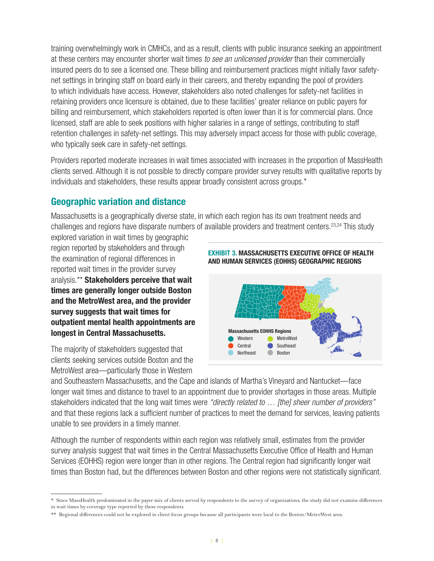training overwhelmingly work in CMHCs, and as a result, clients with public insurance seeking an appointment at these centers may encounter shorter wait times *to see an unlicensed provider* than their commercially insured peers do to see a licensed one. These billing and reimbursement practices might initially favor safetynet settings in bringing staff on board early in their careers, and thereby expanding the pool of providers to which individuals have access. However, stakeholders also noted challenges for safety-net facilities in retaining providers once licensure is obtained, due to these facilities' greater reliance on public payers for billing and reimbursement, which stakeholders reported is often lower than it is for commercial plans. Once licensed, staff are able to seek positions with higher salaries in a range of settings, contributing to staff retention challenges in safety-net settings. This may adversely impact access for those with public coverage, who typically seek care in safety-net settings.

Providers reported moderate increases in wait times associated with increases in the proportion of MassHealth clients served. Although it is not possible to directly compare provider survey results with qualitative reports by individuals and stakeholders, these results appear broadly consistent across groups.\*

# **Geographic variation and distance**

Massachusetts is a geographically diverse state, in which each region has its own treatment needs and challenges and regions have disparate numbers of available providers and treatment centers.<sup>23,[24](#page-15-24)</sup> This study

explored variation in wait times by geographic region reported by stakeholders and through the examination of regional differences in reported wait times in the provider survey analysis.\*\* **Stakeholders perceive that wait times are generally longer outside Boston and the MetroWest area, and the provider survey suggests that wait times for outpatient mental health appointments are longest in Central Massachusetts.**

The majority of stakeholders suggested that clients seeking services outside Boston and the MetroWest area—particularly those in Western





and Southeastern Massachusetts, and the Cape and islands of Martha's Vineyard and Nantucket—face longer wait times and distance to travel to an appointment due to provider shortages in those areas. Multiple stakeholders indicated that the long wait times were *"directly related to … [the] sheer number of providers"* and that these regions lack a sufficient number of practices to meet the demand for services, leaving patients unable to see providers in a timely manner.

Although the number of respondents within each region was relatively small, estimates from the provider survey analysis suggest that wait times in the Central Massachusetts Executive Office of Health and Human Services (EOHHS) region were longer than in other regions. The Central region had significantly longer wait times than Boston had, but the differences between Boston and other regions were not statistically significant.

<sup>\*</sup> Since MassHealth predominated in the payer mix of clients served by respondents to the survey of organizations, the study did not examine differences in wait times by coverage type reported by these respondents.

<sup>\*\*</sup> Regional differences could not be explored in client focus groups because all participants were local to the Boston/MetroWest area.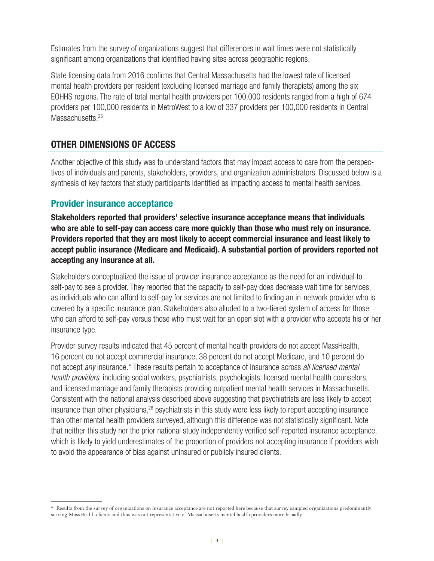Estimates from the survey of organizations suggest that differences in wait times were not statistically significant among organizations that identified having sites across geographic regions.

State licensing data from 2016 confirms that Central Massachusetts had the lowest rate of licensed mental health providers per resident (excluding licensed marriage and family therapists) among the six EOHHS regions. The rate of total mental health providers per 100,000 residents ranged from a high of 674 providers per 100,000 residents in MetroWest to a low of 337 providers per 100,000 residents in Central Massachusetts.<sup>25</sup>

# **OTHER DIMENSIONS OF ACCESS**

Another objective of this study was to understand factors that may impact access to care from the perspectives of individuals and parents, stakeholders, providers, and organization administrators. Discussed below is a synthesis of key factors that study participants identified as impacting access to mental health services.

### **Provider insurance acceptance**

**Stakeholders reported that providers' selective insurance acceptance means that individuals who are able to self-pay can access care more quickly than those who must rely on insurance. Providers reported that they are most likely to accept commercial insurance and least likely to accept public insurance (Medicare and Medicaid). A substantial portion of providers reported not accepting any insurance at all.** 

Stakeholders conceptualized the issue of provider insurance acceptance as the need for an individual to self-pay to see a provider. They reported that the capacity to self-pay does decrease wait time for services, as individuals who can afford to self-pay for services are not limited to finding an in-network provider who is covered by a specific insurance plan. Stakeholders also alluded to a two-tiered system of access for those who can afford to self-pay versus those who must wait for an open slot with a provider who accepts his or her insurance type.

Provider survey results indicated that 45 percent of mental health providers do not accept MassHealth, 16 percent do not accept commercial insurance, 38 percent do not accept Medicare, and 10 percent do not accept *any* insurance.\* These results pertain to acceptance of insurance across *all licensed mental health providers*, including social workers, psychiatrists, psychologists, licensed mental health counselors, and licensed marriage and family therapists providing outpatient mental health services in Massachusetts. Consistent with the national analysis described above suggesting that psychiatrists are less likely to accept insurance than other physicians,<sup>26</sup> psychiatrists in this study were less likely to report accepting insurance than other mental health providers surveyed, although this difference was not statistically significant. Note that neither this study nor the prior national study independently verified self-reported insurance acceptance, which is likely to yield underestimates of the proportion of providers not accepting insurance if providers wish to avoid the appearance of bias against uninsured or publicly insured clients.

<sup>\*</sup> Results from the survey of organizations on insurance acceptance are not reported here because that survey sampled organizations predominantly serving MassHealth clients and thus was not representative of Massachusetts mental health providers more broadly.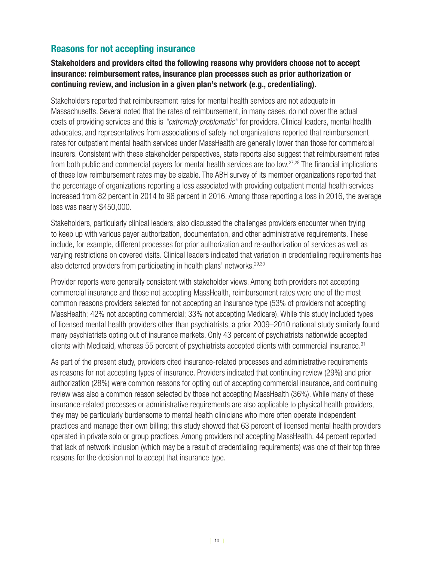# **Reasons for not accepting insurance**

#### **Stakeholders and providers cited the following reasons why providers choose not to accept insurance: reimbursement rates, insurance plan processes such as prior authorization or continuing review, and inclusion in a given plan's network (e.g., credentialing).**

Stakeholders reported that reimbursement rates for mental health services are not adequate in Massachusetts. Several noted that the rates of reimbursement, in many cases, do not cover the actual costs of providing services and this is *"extremely problematic"* for providers. Clinical leaders, mental health advocates, and representatives from associations of safety-net organizations reported that reimbursement rates for outpatient mental health services under MassHealth are generally lower than those for commercial insurers. Consistent with these stakeholder perspectives, state reports also suggest that reimbursement rates from both public and commercial payers for mental health services are too low.[27](#page-15-20)[,28](#page-15-27) The financial implications of these low reimbursement rates may be sizable. The ABH survey of its member organizations reported that the percentage of organizations reporting a loss associated with providing outpatient mental health services increased from 82 percent in 2014 to 96 percent in 2016. Among those reporting a loss in 2016, the average loss was nearly \$450,000.

Stakeholders, particularly clinical leaders, also discussed the challenges providers encounter when trying to keep up with various payer authorization, documentation, and other administrative requirements. These include, for example, different processes for prior authorization and re-authorization of services as well as varying restrictions on covered visits. Clinical leaders indicated that variation in credentialing requirements has also deterred providers from participating in health plans' networks.<sup>[29](#page-16-0)[,30](#page-16-1)</sup>

Provider reports were generally consistent with stakeholder views. Among both providers not accepting commercial insurance and those not accepting MassHealth, reimbursement rates were one of the most common reasons providers selected for not accepting an insurance type (53% of providers not accepting MassHealth; 42% not accepting commercial; 33% not accepting Medicare). While this study included types of licensed mental health providers other than psychiatrists, a prior 2009–2010 national study similarly found many psychiatrists opting out of insurance markets. Only 43 percent of psychiatrists nationwide accepted clients with Medicaid, whereas 55 percent of psychiatrists accepted clients with commercial insurance.<sup>31</sup>

As part of the present study, providers cited insurance-related processes and administrative requirements as reasons for not accepting types of insurance. Providers indicated that continuing review (29%) and prior authorization (28%) were common reasons for opting out of accepting commercial insurance, and continuing review was also a common reason selected by those not accepting MassHealth (36%). While many of these insurance-related processes or administrative requirements are also applicable to physical health providers, they may be particularly burdensome to mental health clinicians who more often operate independent practices and manage their own billing; this study showed that 63 percent of licensed mental health providers operated in private solo or group practices. Among providers not accepting MassHealth, 44 percent reported that lack of network inclusion (which may be a result of credentialing requirements) was one of their top three reasons for the decision not to accept that insurance type.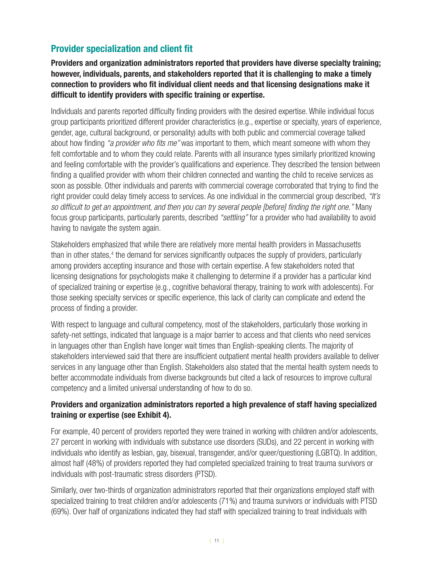# **Provider specialization and client fit**

**Providers and organization administrators reported that providers have diverse specialty training; however, individuals, parents, and stakeholders reported that it is challenging to make a timely connection to providers who fit individual client needs and that licensing designations make it difficult to identify providers with specific training or expertise.** 

Individuals and parents reported difficulty finding providers with the desired expertise. While individual focus group participants prioritized different provider characteristics (e.g., expertise or specialty, years of experience, gender, age, cultural background, or personality) adults with both public and commercial coverage talked about how finding *"a provider who fits me"* was important to them, which meant someone with whom they felt comfortable and to whom they could relate. Parents with all insurance types similarly prioritized knowing and feeling comfortable with the provider's qualifications and experience. They described the tension between finding a qualified provider with whom their children connected and wanting the child to receive services as soon as possible. Other individuals and parents with commercial coverage corroborated that trying to find the right provider could delay timely access to services. As one individual in the commercial group described, *"It's so difficult to get an appointment, and then you can try several people [before] finding the right one."* Many focus group participants, particularly parents, described *"settling"* for a provider who had availability to avoid having to navigate the system again.

Stakeholders emphasized that while there are relatively more mental health providers in Massachusetts than in other states,<sup>[4](#page-15-3)</sup> the demand for services significantly outpaces the supply of providers, particularly among providers accepting insurance and those with certain expertise. A few stakeholders noted that licensing designations for psychologists make it challenging to determine if a provider has a particular kind of specialized training or expertise (e.g., cognitive behavioral therapy, training to work with adolescents). For those seeking specialty services or specific experience, this lack of clarity can complicate and extend the process of finding a provider.

With respect to language and cultural competency, most of the stakeholders, particularly those working in safety-net settings, indicated that language is a major barrier to access and that clients who need services in languages other than English have longer wait times than English-speaking clients. The majority of stakeholders interviewed said that there are insufficient outpatient mental health providers available to deliver services in any language other than English. Stakeholders also stated that the mental health system needs to better accommodate individuals from diverse backgrounds but cited a lack of resources to improve cultural competency and a limited universal understanding of how to do so.

#### **Providers and organization administrators reported a high prevalence of staff having specialized training or expertise (see Exhibit 4).**

For example, 40 percent of providers reported they were trained in working with children and/or adolescents, 27 percent in working with individuals with substance use disorders (SUDs), and 22 percent in working with individuals who identify as lesbian, gay, bisexual, transgender, and/or queer/questioning (LGBTQ). In addition, almost half (48%) of providers reported they had completed specialized training to treat trauma survivors or individuals with post-traumatic stress disorders (PTSD).

Similarly, over two-thirds of organization administrators reported that their organizations employed staff with specialized training to treat children and/or adolescents (71%) and trauma survivors or individuals with PTSD (69%). Over half of organizations indicated they had staff with specialized training to treat individuals with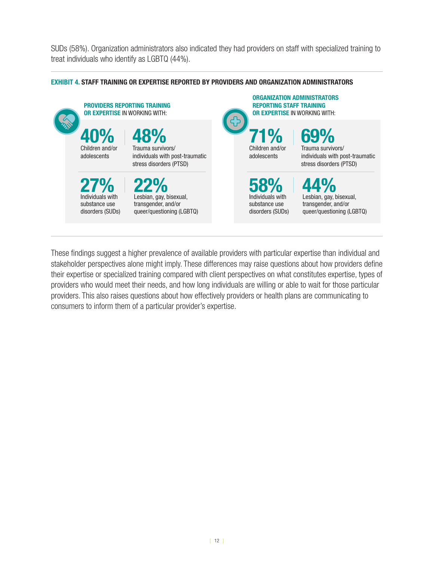SUDs (58%). Organization administrators also indicated they had providers on staff with specialized training to treat individuals who identify as LGBTQ (44%).

#### **EXHIBIT 4. STAFF TRAINING OR EXPERTISE REPORTED BY PROVIDERS AND ORGANIZATION ADMINISTRATORS**



These findings suggest a higher prevalence of available providers with particular expertise than individual and stakeholder perspectives alone might imply. These differences may raise questions about how providers define their expertise or specialized training compared with client perspectives on what constitutes expertise, types of providers who would meet their needs, and how long individuals are willing or able to wait for those particular providers. This also raises questions about how effectively providers or health plans are communicating to consumers to inform them of a particular provider's expertise.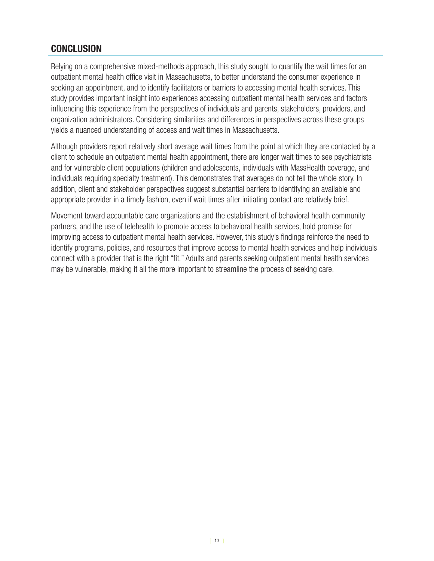# **CONCLUSION**

Relying on a comprehensive mixed-methods approach, this study sought to quantify the wait times for an outpatient mental health office visit in Massachusetts, to better understand the consumer experience in seeking an appointment, and to identify facilitators or barriers to accessing mental health services. This study provides important insight into experiences accessing outpatient mental health services and factors influencing this experience from the perspectives of individuals and parents, stakeholders, providers, and organization administrators. Considering similarities and differences in perspectives across these groups yields a nuanced understanding of access and wait times in Massachusetts.

Although providers report relatively short average wait times from the point at which they are contacted by a client to schedule an outpatient mental health appointment, there are longer wait times to see psychiatrists and for vulnerable client populations (children and adolescents, individuals with MassHealth coverage, and individuals requiring specialty treatment). This demonstrates that averages do not tell the whole story. In addition, client and stakeholder perspectives suggest substantial barriers to identifying an available and appropriate provider in a timely fashion, even if wait times after initiating contact are relatively brief.

Movement toward accountable care organizations and the establishment of behavioral health community partners, and the use of telehealth to promote access to behavioral health services, hold promise for improving access to outpatient mental health services. However, this study's findings reinforce the need to identify programs, policies, and resources that improve access to mental health services and help individuals connect with a provider that is the right "fit." Adults and parents seeking outpatient mental health services may be vulnerable, making it all the more important to streamline the process of seeking care.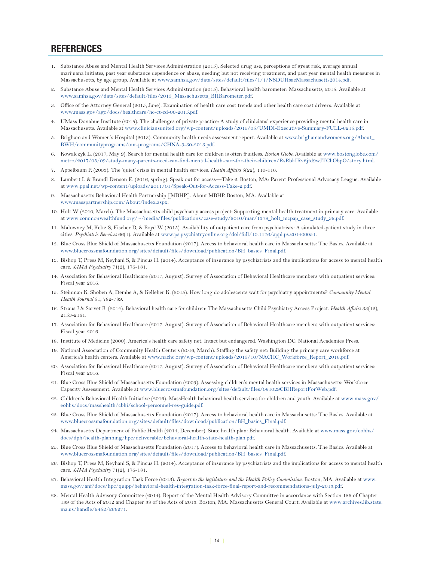#### **REFERENCES**

- <span id="page-15-0"></span>1. Substance Abuse and Mental Health Services Administration (2015). Selected drug use, perceptions of great risk, average annual marijuana initiates, past year substance dependence or abuse, needing but not receiving treatment, and past year mental health measures in Massachusetts, by age group. Available at [www.samhsa.gov/data/sites/default/files/1/1/NSDUHsaeMassachusetts2014.pdf](http://www.samhsa.gov/data/sites/default/files/1/1/NSDUHsaeMassachusetts2014.pdf).
- <span id="page-15-1"></span>2. Substance Abuse and Mental Health Services Administration (2015). Behavioral health barometer: Massachusetts, 2015. Available at [www.samhsa.gov/data/sites/default/files/2015\\_Massachusetts\\_BHBarometer.pdf](http://www.samhsa.gov/data/sites/default/files/2015_Massachusetts_BHBarometer.pdf).
- <span id="page-15-2"></span>3. Office of the Attorney General (2015, June). Examination of health care cost trends and other health care cost drivers. Available at [www.mass.gov/ago/docs/healthcare/hc-ct-cd-06-2015.pdf.](http://www.mass.gov/ago/docs/healthcare/hc-ct-cd-06-2015.pdf)
- <span id="page-15-3"></span>4. UMass Donahue Institute (2015). The challenges of private practice: A study of clinicians' experience providing mental health care in Massachusetts. Available at [www.cliniciansunited.org/wp-content/uploads/2015/05/UMDI-Executive-Summary-FULL-6215.pdf](http://www.cliniciansunited.org/wp-content/uploads/2015/05/UMDI-Executive-Summary-FULL-6215.pdf).
- <span id="page-15-4"></span>5. Brigham and Women's Hospital (2013). Community health needs assessment report. Available at [www.brighamandwomens.org/About\\_](http://www.brighamandwomens.org/About_BWH/communityprograms/our-programs/CHNA-9-30-2013.pdf) [BWH/communityprograms/our-programs/CHNA-9-30-2013.pdf.](http://www.brighamandwomens.org/About_BWH/communityprograms/our-programs/CHNA-9-30-2013.pdf)
- <span id="page-15-5"></span>6. Kowalczyk L. (2017, May 9). Search for mental health care for children is often fruitless. *Boston Globe.* Available at [www.bostonglobe.com/](http://www.bostonglobe.com/metro/2017/05/09/study-many-parents-need-can-find-mental-health-care-for-their-children/RsRbkIRv6jtd9wJTChObpO/story.html) [metro/2017/05/09/study-many-parents-need-can-find-mental-health-care-for-their-children/RsRbkIRv6jtd9wJTChObpO/story.html](http://www.bostonglobe.com/metro/2017/05/09/study-many-parents-need-can-find-mental-health-care-for-their-children/RsRbkIRv6jtd9wJTChObpO/story.html).
- <span id="page-15-6"></span>7. Appelbaum P. (2003). The 'quiet' crisis in mental health services. *Health Affairs* 5(22), 110-116.
- <span id="page-15-7"></span>8. Lambert L & Brandl Denson E. (2016, spring). Speak out for access—Take 2. Boston, MA: Parent Professional Advocacy League. Available at www.[ppal.net/wp-content/uploads/2011/01/Speak-Out-for-Access-Take-2.pdf](http://ppal.net/wp-content/uploads/2011/01/Speak-Out-for-Access-Take-2.pdf).
- <span id="page-15-8"></span>9. Massachusetts Behavioral Health Partnership [MBHP]. About MBHP. Boston, MA. Available at [www.masspartnership.com/About/index.aspx.](http://www.masspartnership.com/About/index.aspx)
- <span id="page-15-9"></span>10. Holt W. (2010, March). The Massachusetts child psychiatry access project: Supporting mental health treatment in primary care. Available at [www.commonwealthfund.org/~/media/files/publications/case-study/2010/mar/1378\\_holt\\_mcpap\\_case\\_study\\_32.pdf](http://www.commonwealthfund.org/~/media/files/publications/case-study/2010/mar/1378_holt_mcpap_case_study_32.pdf).
- <span id="page-15-10"></span>11. Malowney M, Keltz S, Fischer D, & Boyd W. (2015). Availability of outpatient care from psychiatrists: A simulated-patient study in three cities. *Psychiatric Services* 66(1). Available at [www.ps.psychiatryonline.org/doi/full/10.1176/appi.ps.201400051](http://www.ps.psychiatryonline.org/doi/full/10.1176/appi.ps.201400051).
- <span id="page-15-11"></span>12. Blue Cross Blue Shield of Massachusetts Foundation (2017). Access to behavioral health care in Massachusetts: The Basics. Available at www.[bluecrossmafoundation.org/sites/default/files/download/publication/BH\\_basics\\_Final.pdf.](https://bluecrossmafoundation.org/sites/default/files/download/publication/BH_basics_Final.pdf)
- <span id="page-15-12"></span>13. Bishop T, Press M, Keyhani S, & Pincus H. (2014). Acceptance of insurance by psychiatrists and the implications for access to mental health care. *JAMA Psychiatry* 71(2), 176-181.
- <span id="page-15-13"></span>14. Association for Behavioral Healthcare (2017, August). Survey of Association of Behavioral Healthcare members with outpatient services: Fiscal year 2016.
- <span id="page-15-14"></span>15. Steinman K, Shoben A, Dembe A, & Kelleher K. (2015). How long do adolescents wait for psychiatry appointments? *Community Mental Health Journal* 51, 782-789.
- <span id="page-15-15"></span>16. Straus J & Sarvet B. (2014). Behavioral health care for children: The Massachusetts Child Psychiatry Access Project. *Health Affairs* 33(12), 2153-2161.
- <span id="page-15-16"></span>17. Association for Behavioral Healthcare (2017, August). Survey of Association of Behavioral Healthcare members with outpatient services: Fiscal year 2016.
- <span id="page-15-17"></span>18. Institute of Medicine (2000). America's health care safety net: Intact but endangered. Washington DC: National Academies Press.
- <span id="page-15-18"></span>19. National Association of Community Health Centers (2016, March). Staffing the safety net: Building the primary care workforce at America's health centers. Available at [www.nachc.org/wp-content/uploads/2015/10/NACHC\\_Workforce\\_Report\\_2016.pdf.](http://www.nachc.org/wp-content/uploads/2015/10/NACHC_Workforce_Report_2016.pdf)
- <span id="page-15-19"></span>20. Association for Behavioral Healthcare (2017, August). Survey of Association of Behavioral Healthcare members with outpatient services: Fiscal year 2016.
- <span id="page-15-21"></span>21. Blue Cross Blue Shield of Massachusetts Foundation (2009). Assessing children's mental health services in Massachusetts: Workforce Capacity Assessment. Available at www[.bluecrossmafoundation.org/sites/default/files/091029CBHReportForWeb.pdf.](https://bluecrossmafoundation.org/sites/default/files/091029CBHReportForWeb.pdf)
- <span id="page-15-22"></span>22. Children's Behavioral Health Initiative (2016). MassHealth behavioral health services for children and youth. Available at [www.mass.gov/](http://www.mass.gov/eohhs/docs/masshealth/cbhi/school-personnel-res-guide.pdf) [eohhs/docs/masshealth/cbhi/school-personnel-res-guide.pdf](http://www.mass.gov/eohhs/docs/masshealth/cbhi/school-personnel-res-guide.pdf).
- <span id="page-15-23"></span>23. Blue Cross Blue Shield of Massachusetts Foundation (2017). Access to behavioral health care in Massachusetts: The Basics. Available at www.[bluecrossmafoundation.org/sites/default/files/download/publication/BH\\_basics\\_Final.pdf.](https://bluecrossmafoundation.org/sites/default/files/download/publication/BH_basics_Final.pdf)
- <span id="page-15-24"></span>24. Massachusetts Department of Public Health (2014, December). State health plan: Behavioral health. Available at [www.mass.gov/eohhs/](http://www.mass.gov/eohhs/docs/dph/health-planning/hpc/deliverable/behavioral-health-state-health-plan.pdf) [docs/dph/health-planning/hpc/deliverable/behavioral-health-state-health-plan.pdf](http://www.mass.gov/eohhs/docs/dph/health-planning/hpc/deliverable/behavioral-health-state-health-plan.pdf).
- <span id="page-15-25"></span>25. Blue Cross Blue Shield of Massachusetts Foundation (2017). Access to behavioral health care in Massachusetts: The Basics. Available at www.[bluecrossmafoundation.org/sites/default/files/download/publication/BH\\_basics\\_Final.pdf.](https://bluecrossmafoundation.org/sites/default/files/download/publication/BH_basics_Final.pdf)
- <span id="page-15-26"></span>26. Bishop T, Press M, Keyhani S, & Pincus H. (2014). Acceptance of insurance by psychiatrists and the implications for access to mental health care. *JAMA Psychiatry* 71(2), 176-181.
- <span id="page-15-20"></span>27. Behavioral Health Integration Task Force (2013). *Report to the legislature and the Health Policy Commission*. Boston, MA. Available at [www.](http://www.mass.gov/anf/docs/hpc/quipp/behavioral-health-integration-task-force-final-report-and-recommendations-july-2013.pdf) [mass.gov/anf/docs/hpc/quipp/behavioral-health-integration-task-force-final-report-and-recommendations-july-2013.pdf.](http://www.mass.gov/anf/docs/hpc/quipp/behavioral-health-integration-task-force-final-report-and-recommendations-july-2013.pdf)
- <span id="page-15-27"></span>28. Mental Health Advisory Committee (2014). Report of the Mental Health Advisory Committee in accordance with Section 186 of Chapter 139 of the Acts of 2012 and Chapter 38 of the Acts of 2013. Boston, MA: Massachusetts General Court. Available at www.[archives.lib.state.](http://archives.lib.state.ma.us/handle/2452/266271) [ma.us/handle/2452/266271.](http://archives.lib.state.ma.us/handle/2452/266271)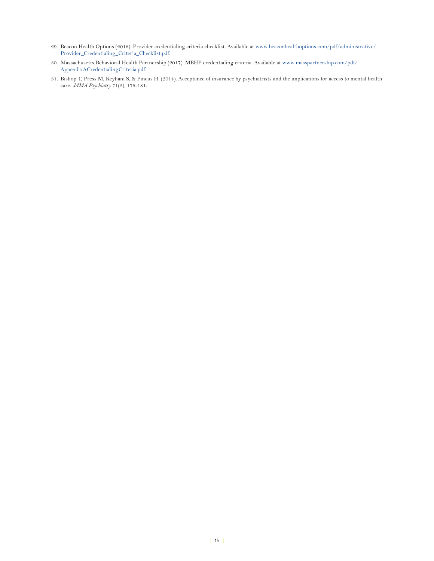- <span id="page-16-0"></span>29. Beacon Health Options (2016). Provider credentialing criteria checklist. Available at [www.beaconhealthoptions.com/pdf/administrative/](https://www.beaconhealthoptions.com/pdf/administrative/Provider_Credentialing_Criteria_Checklist.pdf) [Provider\\_Credentialing\\_Criteria\\_Checklist.pdf.](https://www.beaconhealthoptions.com/pdf/administrative/Provider_Credentialing_Criteria_Checklist.pdf)
- <span id="page-16-1"></span>30. Massachusetts Behavioral Health Partnership (2017). MBHP credentialing criteria. Available at [www.masspartnership.com/pdf/](http://www.masspartnership.com/pdf/AppendixACredentialingCriteria.pdf) [AppendixACredentialingCriteria.pdf.](http://www.masspartnership.com/pdf/AppendixACredentialingCriteria.pdf)
- <span id="page-16-2"></span>31. Bishop T, Press M, Keyhani S, & Pincus H. (2014). Acceptance of insurance by psychiatrists and the implications for access to mental health care. *JAMA Psychiatry* 71(2), 176-181.